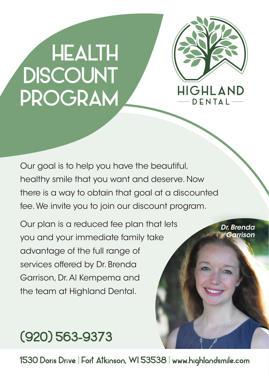# **HEALTH DISCOUNT**<br>PROGRAM



Our goal is to help you have the beautiful, healthy smile that you want and deserve. Now there is a way to obtain that goal at a discounted fee. We invite you to join our discount program.

Our plan is a reduced fee plan that lets you and your immediate family take advantage of the full range of services offered by Dr. Brenda Garrison, Dr. Al Kempema and the team at Highland Dental.

*Dr. Brenda Garrison*

## (920) 563-9373

1530 Doris Drive | Fort Atkinson, WI 53538 | www.highlandsmile.com